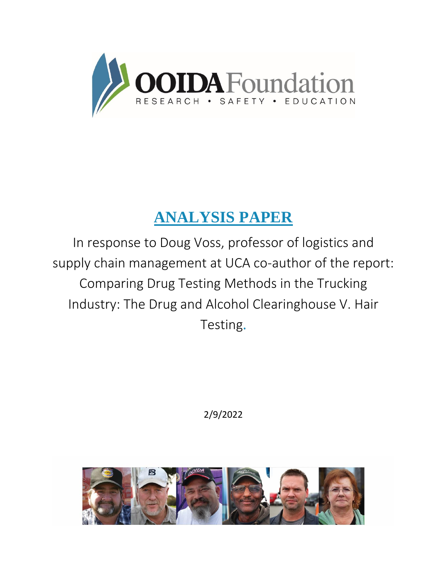

# **ANALYSIS PAPER**

In response to Doug Voss, professor of logistics and supply chain management at UCA co-author of the report: Comparing Drug Testing Methods in the Trucking Industry: The Drug and Alcohol Clearinghouse V. Hair Testing.

2/9/2022

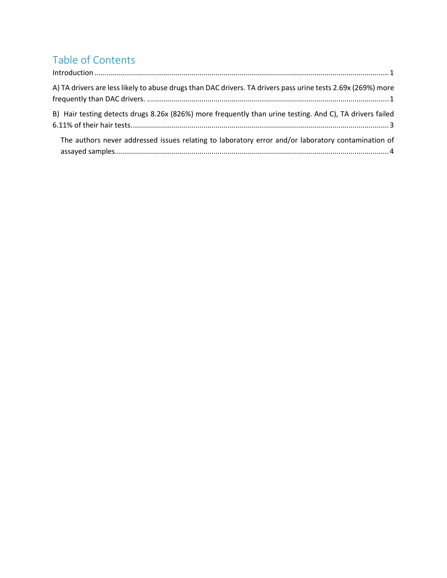## Table of Contents

<span id="page-1-0"></span>

| $\label{lem:1} \mbox{Introduction} \,\, \ldots \,\, \ldots \,\, \ldots \,\, \ldots \,\, \ldots \,\, \ldots \,\, \ldots \,\, \ldots \,\, \ldots \,\, \ldots \,\, \ldots \,\, \ldots \,\, \ldots \,\, \ldots \,\, \ldots \,\, \ldots \,\, \ldots \,\, \ldots \,\, \ldots \,\, \ldots \,\, \ldots \,\, \ldots \,\, \ldots \,\, \ldots \,\, \ldots \,\, \ldots \,\, \ldots \,\, \ldots \,\, \ldots \,\, \ldots \,\, \ldots \,\, \ldots \,\, \ldots \,\, \ldots \,\,$ |
|------------------------------------------------------------------------------------------------------------------------------------------------------------------------------------------------------------------------------------------------------------------------------------------------------------------------------------------------------------------------------------------------------------------------------------------------------------------|
| A) TA drivers are less likely to abuse drugs than DAC drivers. TA drivers pass urine tests 2.69x (269%) more                                                                                                                                                                                                                                                                                                                                                     |
| B) Hair testing detects drugs 8.26x (826%) more frequently than urine testing. And C), TA drivers failed                                                                                                                                                                                                                                                                                                                                                         |
| The authors never addressed issues relating to laboratory error and/or laboratory contamination of                                                                                                                                                                                                                                                                                                                                                               |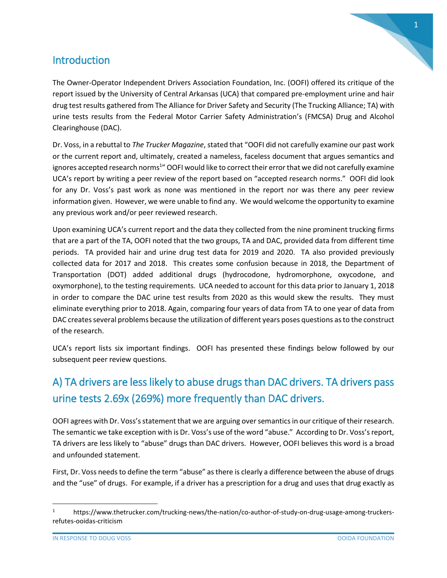

#### **Introduction**

The Owner-Operator Independent Drivers Association Foundation, Inc. (OOFI) offered its critique of the report issued by the University of Central Arkansas (UCA) that compared pre-employment urine and hair drug test results gathered from The Alliance for Driver Safety and Security (The Trucking Alliance; TA) with urine tests results from the Federal Motor Carrier Safety Administration's (FMCSA) Drug and Alcohol Clearinghouse (DAC).

Dr. Voss, in a rebuttal to *The Trucker Magazine*, stated that "OOFI did not carefully examine our past work or the current report and, ultimately, created a nameless, faceless document that argues semantics and ignores accepted research norms<sup>1</sup>" OOFI would like to correct their error that we did not carefully examine UCA's report by writing a peer review of the report based on "accepted research norms." OOFI did look for any Dr. Voss's past work as none was mentioned in the report nor was there any peer review information given. However, we were unable to find any. We would welcome the opportunity to examine any previous work and/or peer reviewed research.

Upon examining UCA's current report and the data they collected from the nine prominent trucking firms that are a part of the TA, OOFI noted that the two groups, TA and DAC, provided data from different time periods. TA provided hair and urine drug test data for 2019 and 2020. TA also provided previously collected data for 2017 and 2018. This creates some confusion because in 2018, the Department of Transportation (DOT) added additional drugs (hydrocodone, hydromorphone, oxycodone, and oxymorphone), to the testing requirements. UCA needed to account for this data prior to January 1, 2018 in order to compare the DAC urine test results from 2020 as this would skew the results. They must eliminate everything prior to 2018. Again, comparing four years of data from TA to one year of data from DAC creates several problems because the utilization of different years poses questions as to the construct of the research.

UCA's report lists six important findings. OOFI has presented these findings below followed by our subsequent peer review questions.

#### <span id="page-3-0"></span>A) TA drivers are less likely to abuse drugs than DAC drivers. TA drivers pass urine tests 2.69x (269%) more frequently than DAC drivers.

OOFI agrees with Dr. Voss's statement that we are arguing over semantics in our critique of their research. The semantic we take exception with is Dr. Voss's use of the word "abuse." According to Dr. Voss's report, TA drivers are less likely to "abuse" drugs than DAC drivers. However, OOFI believes this word is a broad and unfounded statement.

First, Dr. Voss needs to define the term "abuse" as there is clearly a difference between the abuse of drugs and the "use" of drugs. For example, if a driver has a prescription for a drug and uses that drug exactly as

 $\overline{\phantom{a}}$ 

https://www.thetrucker.com/trucking-news/the-nation/co-author-of-study-on-drug-usage-among-truckersrefutes-ooidas-criticism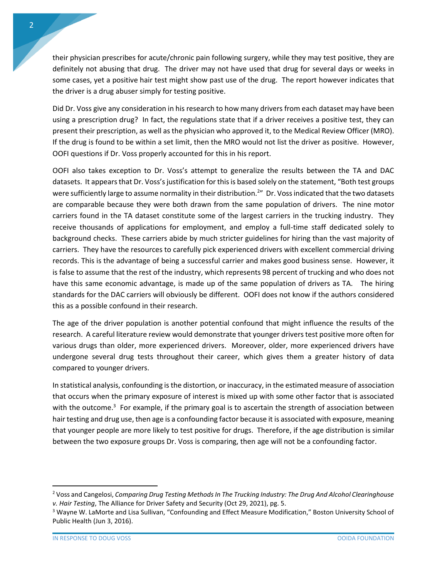their physician prescribes for acute/chronic pain following surgery, while they may test positive, they are definitely not abusing that drug. The driver may not have used that drug for several days or weeks in some cases, yet a positive hair test might show past use of the drug. The report however indicates that the driver is a drug abuser simply for testing positive.

Did Dr. Voss give any consideration in his research to how many drivers from each dataset may have been using a prescription drug? In fact, the regulations state that if a driver receives a positive test, they can present their prescription, as well as the physician who approved it, to the Medical Review Officer (MRO). If the drug is found to be within a set limit, then the MRO would not list the driver as positive. However, OOFI questions if Dr. Voss properly accounted for this in his report.

OOFI also takes exception to Dr. Voss's attempt to generalize the results between the TA and DAC datasets. It appears that Dr. Voss's justification for this is based solely on the statement, "Both test groups were sufficiently large to assume normality in their distribution.<sup>2</sup>" Dr. Voss indicated that the two datasets are comparable because they were both drawn from the same population of drivers. The nine motor carriers found in the TA dataset constitute some of the largest carriers in the trucking industry. They receive thousands of applications for employment, and employ a full-time staff dedicated solely to background checks. These carriers abide by much stricter guidelines for hiring than the vast majority of carriers. They have the resources to carefully pick experienced drivers with excellent commercial driving records. This is the advantage of being a successful carrier and makes good business sense. However, it is false to assume that the rest of the industry, which represents 98 percent of trucking and who does not have this same economic advantage, is made up of the same population of drivers as TA. The hiring standards for the DAC carriers will obviously be different. OOFI does not know if the authors considered this as a possible confound in their research.

The age of the driver population is another potential confound that might influence the results of the research. A careful literature review would demonstrate that younger drivers test positive more often for various drugs than older, more experienced drivers. Moreover, older, more experienced drivers have undergone several drug tests throughout their career, which gives them a greater history of data compared to younger drivers.

In statistical analysis, confounding is the distortion, or inaccuracy, in the estimated measure of association that occurs when the primary exposure of interest is mixed up with some other factor that is associated with the outcome.<sup>3</sup> For example, if the primary goal is to ascertain the strength of association between hair testing and drug use, then age is a confounding factor because it is associated with exposure, meaning that younger people are more likely to test positive for drugs. Therefore, if the age distribution is similar between the two exposure groups Dr. Voss is comparing, then age will not be a confounding factor.

l

<sup>2</sup> Voss and Cangelosi, *Comparing Drug Testing Methods In The Trucking Industry: The Drug And Alcohol Clearinghouse v. Hair Testing*, The Alliance for Driver Safety and Security (Oct 29, 2021), pg. 5.

<sup>&</sup>lt;sup>3</sup> Wayne W. LaMorte and Lisa Sullivan, "Confounding and Effect Measure Modification," Boston University School of Public Health (Jun 3, 2016).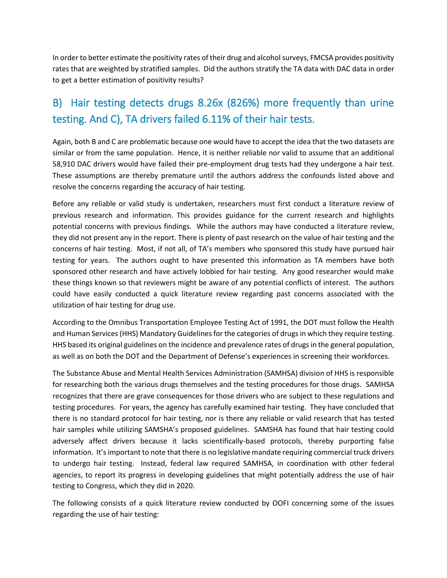In order to better estimate the positivity rates of their drug and alcohol surveys, FMCSA provides positivity rates that are weighted by stratified samples. Did the authors stratify the TA data with DAC data in order to get a better estimation of positivity results?

### <span id="page-5-0"></span>B) Hair testing detects drugs 8.26x (826%) more frequently than urine testing. And C), TA drivers failed 6.11% of their hair tests.

Again, both B and C are problematic because one would have to accept the idea that the two datasets are similar or from the same population. Hence, it is neither reliable nor valid to assume that an additional 58,910 DAC drivers would have failed their pre-employment drug tests had they undergone a hair test. These assumptions are thereby premature until the authors address the confounds listed above and resolve the concerns regarding the accuracy of hair testing.

Before any reliable or valid study is undertaken, researchers must first conduct a literature review of previous research and information. This provides guidance for the current research and highlights potential concerns with previous findings. While the authors may have conducted a literature review, they did not present any in the report. There is plenty of past research on the value of hair testing and the concerns of hair testing. Most, if not all, of TA's members who sponsored this study have pursued hair testing for years. The authors ought to have presented this information as TA members have both sponsored other research and have actively lobbied for hair testing. Any good researcher would make these things known so that reviewers might be aware of any potential conflicts of interest. The authors could have easily conducted a quick literature review regarding past concerns associated with the utilization of hair testing for drug use.

According to the Omnibus Transportation Employee Testing Act of 1991, the DOT must follow the Health and Human Services (HHS) Mandatory Guidelines for the categories of drugs in which they require testing. HHS based its original guidelines on the incidence and prevalence rates of drugs in the general population, as well as on both the DOT and the Department of Defense's experiences in screening their workforces.

The Substance Abuse and Mental Health Services Administration (SAMHSA) division of HHS is responsible for researching both the various drugs themselves and the testing procedures for those drugs. SAMHSA recognizes that there are grave consequences for those drivers who are subject to these regulations and testing procedures. For years, the agency has carefully examined hair testing. They have concluded that there is no standard protocol for hair testing, nor is there any reliable or valid research that has tested hair samples while utilizing SAMSHA's proposed guidelines. SAMSHA has found that hair testing could adversely affect drivers because it lacks scientifically-based protocols, thereby purporting false information. It's important to note that there is no legislative mandate requiring commercial truck drivers to undergo hair testing. Instead, federal law required SAMHSA, in coordination with other federal agencies, to report its progress in developing guidelines that might potentially address the use of hair testing to Congress, which they did in 2020.

The following consists of a quick literature review conducted by OOFI concerning some of the issues regarding the use of hair testing: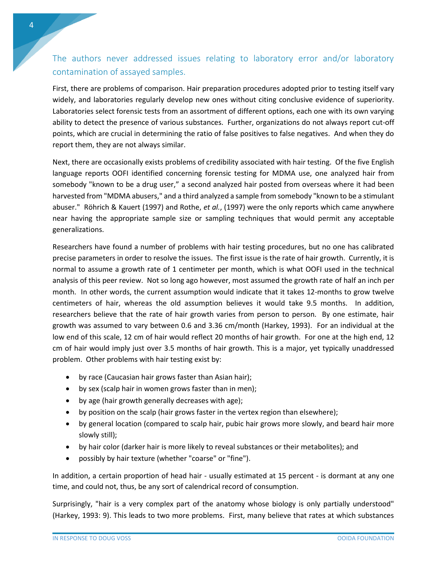#### <span id="page-6-0"></span>The authors never addressed issues relating to laboratory error and/or laboratory contamination of assayed samples.

First, there are problems of comparison. Hair preparation procedures adopted prior to testing itself vary widely, and laboratories regularly develop new ones without citing conclusive evidence of superiority. Laboratories select forensic tests from an assortment of different options, each one with its own varying ability to detect the presence of various substances. Further, organizations do not always report cut-off points, which are crucial in determining the ratio of false positives to false negatives. And when they do report them, they are not always similar.

Next, there are occasionally exists problems of credibility associated with hair testing. Of the five English language reports OOFI identified concerning forensic testing for MDMA use, one analyzed hair from somebody "known to be a drug user," a second analyzed hair posted from overseas where it had been harvested from "MDMA abusers," and a third analyzed a sample from somebody "known to be a stimulant abuser." Röhrich & Kauert (1997) and Rothe, *et al.*, (1997) were the only reports which came anywhere near having the appropriate sample size or sampling techniques that would permit any acceptable generalizations.

Researchers have found a number of problems with hair testing procedures, but no one has calibrated precise parameters in order to resolve the issues. The first issue is the rate of hair growth. Currently, it is normal to assume a growth rate of 1 centimeter per month, which is what OOFI used in the technical analysis of this peer review. Not so long ago however, most assumed the growth rate of half an inch per month. In other words, the current assumption would indicate that it takes 12-months to grow twelve centimeters of hair, whereas the old assumption believes it would take 9.5 months. In addition, researchers believe that the rate of hair growth varies from person to person. By one estimate, hair growth was assumed to vary between 0.6 and 3.36 cm/month (Harkey, 1993). For an individual at the low end of this scale, 12 cm of hair would reflect 20 months of hair growth. For one at the high end, 12 cm of hair would imply just over 3.5 months of hair growth. This is a major, yet typically unaddressed problem. Other problems with hair testing exist by:

- by race (Caucasian hair grows faster than Asian hair);
- by sex (scalp hair in women grows faster than in men);
- by age (hair growth generally decreases with age);
- by position on the scalp (hair grows faster in the vertex region than elsewhere);
- by general location (compared to scalp hair, pubic hair grows more slowly, and beard hair more slowly still);
- by hair color (darker hair is more likely to reveal substances or their metabolites); and
- possibly by hair texture (whether "coarse" or "fine").

In addition, a certain proportion of head hair - usually estimated at 15 percent - is dormant at any one time, and could not, thus, be any sort of calendrical record of consumption.

Surprisingly, "hair is a very complex part of the anatomy whose biology is only partially understood" (Harkey, 1993: 9). This leads to two more problems. First, many believe that rates at which substances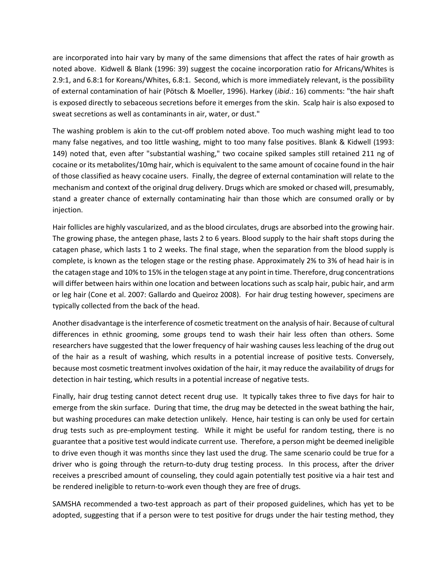are incorporated into hair vary by many of the same dimensions that affect the rates of hair growth as noted above. Kidwell & Blank (1996: 39) suggest the cocaine incorporation ratio for Africans/Whites is 2.9:1, and 6.8:1 for Koreans/Whites, 6.8:1. Second, which is more immediately relevant, is the possibility of external contamination of hair (Pötsch & Moeller, 1996). Harkey (*ibid*.: 16) comments: "the hair shaft is exposed directly to sebaceous secretions before it emerges from the skin. Scalp hair is also exposed to sweat secretions as well as contaminants in air, water, or dust."

The washing problem is akin to the cut-off problem noted above. Too much washing might lead to too many false negatives, and too little washing, might to too many false positives. Blank & Kidwell (1993: 149) noted that, even after "substantial washing," two cocaine spiked samples still retained 211 ng of cocaine or its metabolites/10mg hair, which is equivalent to the same amount of cocaine found in the hair of those classified as heavy cocaine users. Finally, the degree of external contamination will relate to the mechanism and context of the original drug delivery. Drugs which are smoked or chased will, presumably, stand a greater chance of externally contaminating hair than those which are consumed orally or by injection.

Hair follicles are highly vascularized, and as the blood circulates, drugs are absorbed into the growing hair. The growing phase, the antegen phase, lasts 2 to 6 years. Blood supply to the hair shaft stops during the catagen phase, which lasts 1 to 2 weeks. The final stage, when the separation from the blood supply is complete, is known as the telogen stage or the resting phase. Approximately 2% to 3% of head hair is in the catagen stage and 10% to 15% in the telogen stage at any point in time. Therefore, drug concentrations will differ between hairs within one location and between locations such as scalp hair, pubic hair, and arm or leg hair (Cone et al. 2007: Gallardo and Queiroz 2008). For hair drug testing however, specimens are typically collected from the back of the head.

Another disadvantage is the interference of cosmetic treatment on the analysis of hair. Because of cultural differences in ethnic grooming, some groups tend to wash their hair less often than others. Some researchers have suggested that the lower frequency of hair washing causes less leaching of the drug out of the hair as a result of washing, which results in a potential increase of positive tests. Conversely, because most cosmetic treatment involves oxidation of the hair, it may reduce the availability of drugs for detection in hair testing, which results in a potential increase of negative tests.

Finally, hair drug testing cannot detect recent drug use. It typically takes three to five days for hair to emerge from the skin surface. During that time, the drug may be detected in the sweat bathing the hair, but washing procedures can make detection unlikely. Hence, hair testing is can only be used for certain drug tests such as pre-employment testing. While it might be useful for random testing, there is no guarantee that a positive test would indicate current use. Therefore, a person might be deemed ineligible to drive even though it was months since they last used the drug. The same scenario could be true for a driver who is going through the return-to-duty drug testing process. In this process, after the driver receives a prescribed amount of counseling, they could again potentially test positive via a hair test and be rendered ineligible to return-to-work even though they are free of drugs.

SAMSHA recommended a two-test approach as part of their proposed guidelines, which has yet to be adopted, suggesting that if a person were to test positive for drugs under the hair testing method, they